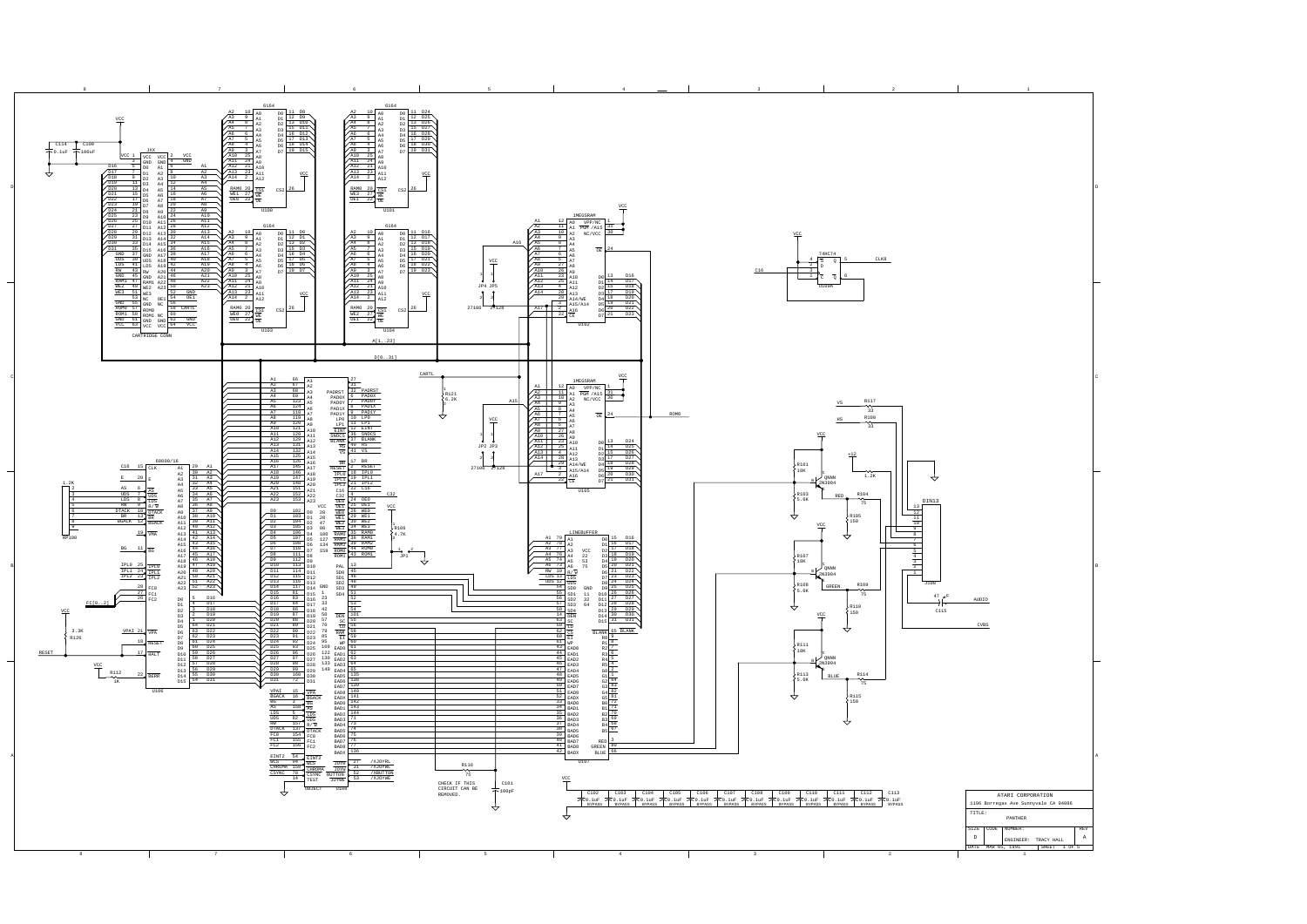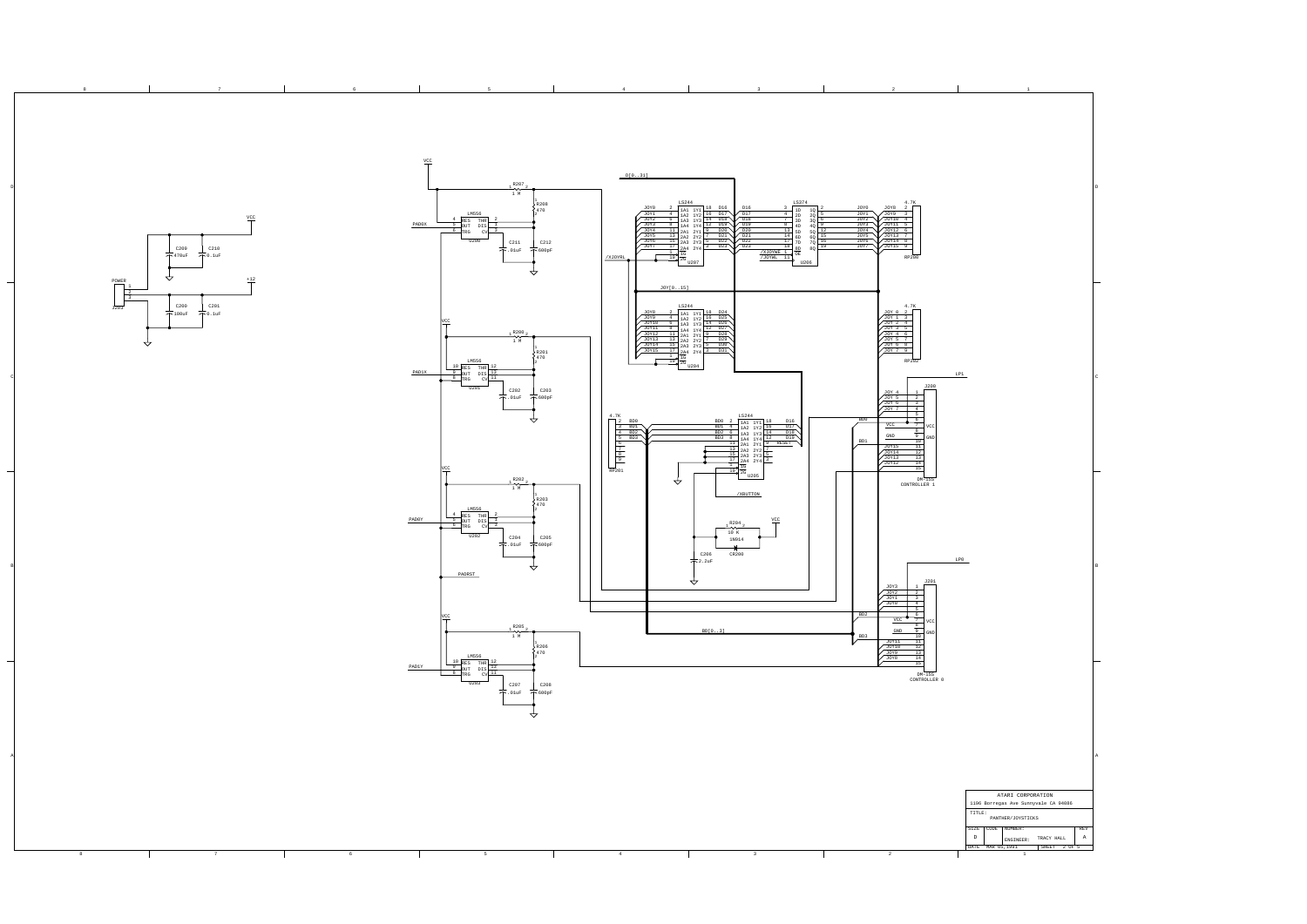|  |  |  |  |  |  | ATARI CORPORATION<br>1196 Borregas Ave Sunnyvale CA 94086                                     |
|--|--|--|--|--|--|-----------------------------------------------------------------------------------------------|
|  |  |  |  |  |  | TITLE:<br>PANTHER/JOYSTICKS                                                                   |
|  |  |  |  |  |  | SIZE CODE NUMBER:<br>REV<br>ENGINEER: TRACY HALL  <br>. D<br>DATE MAR 05,1991<br>SHEET 2 OF 5 |
|  |  |  |  |  |  |                                                                                               |

A

B

D

D

B

A

8 7 7 8 6 7 2 8 2 2 2 2 2 3

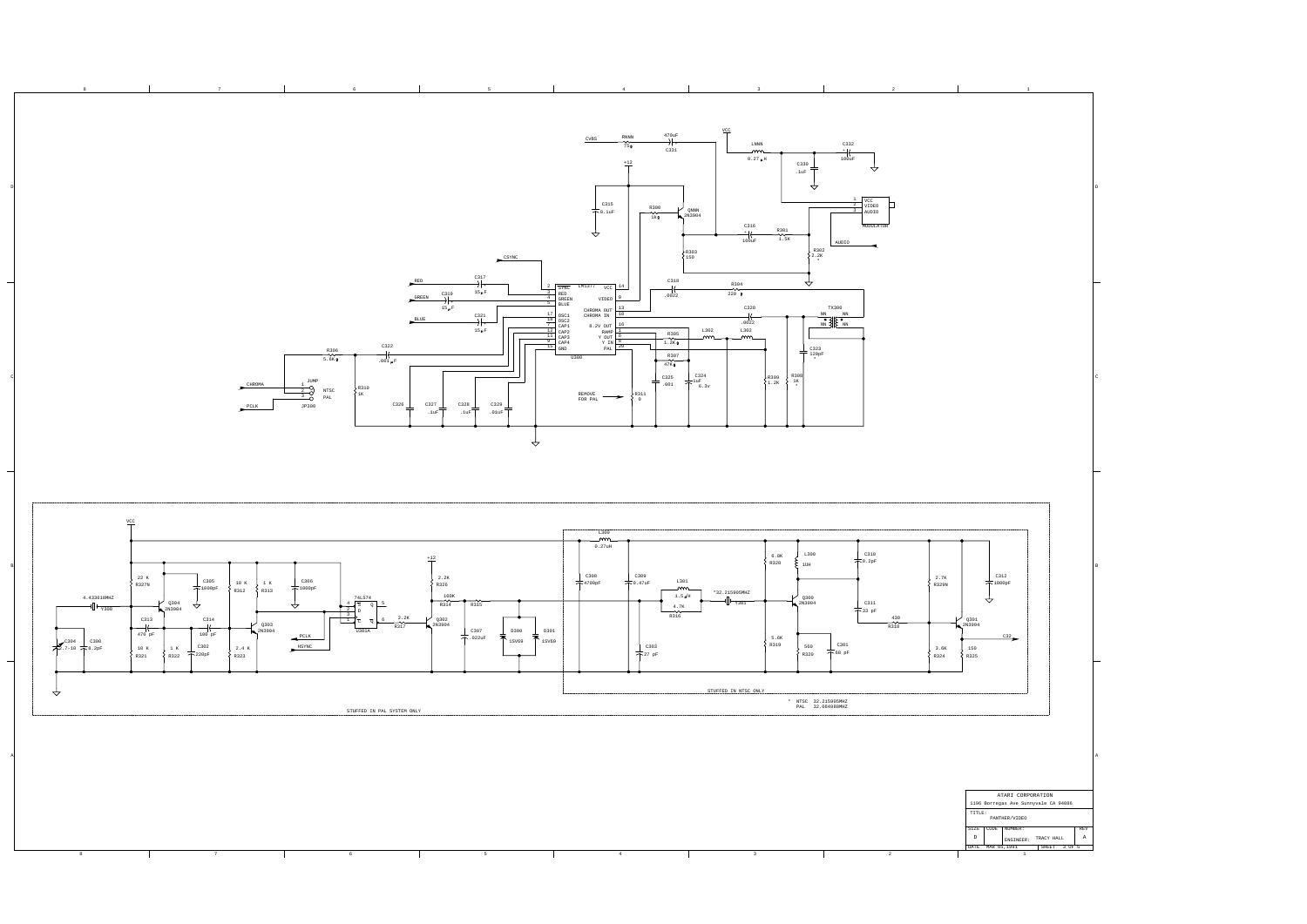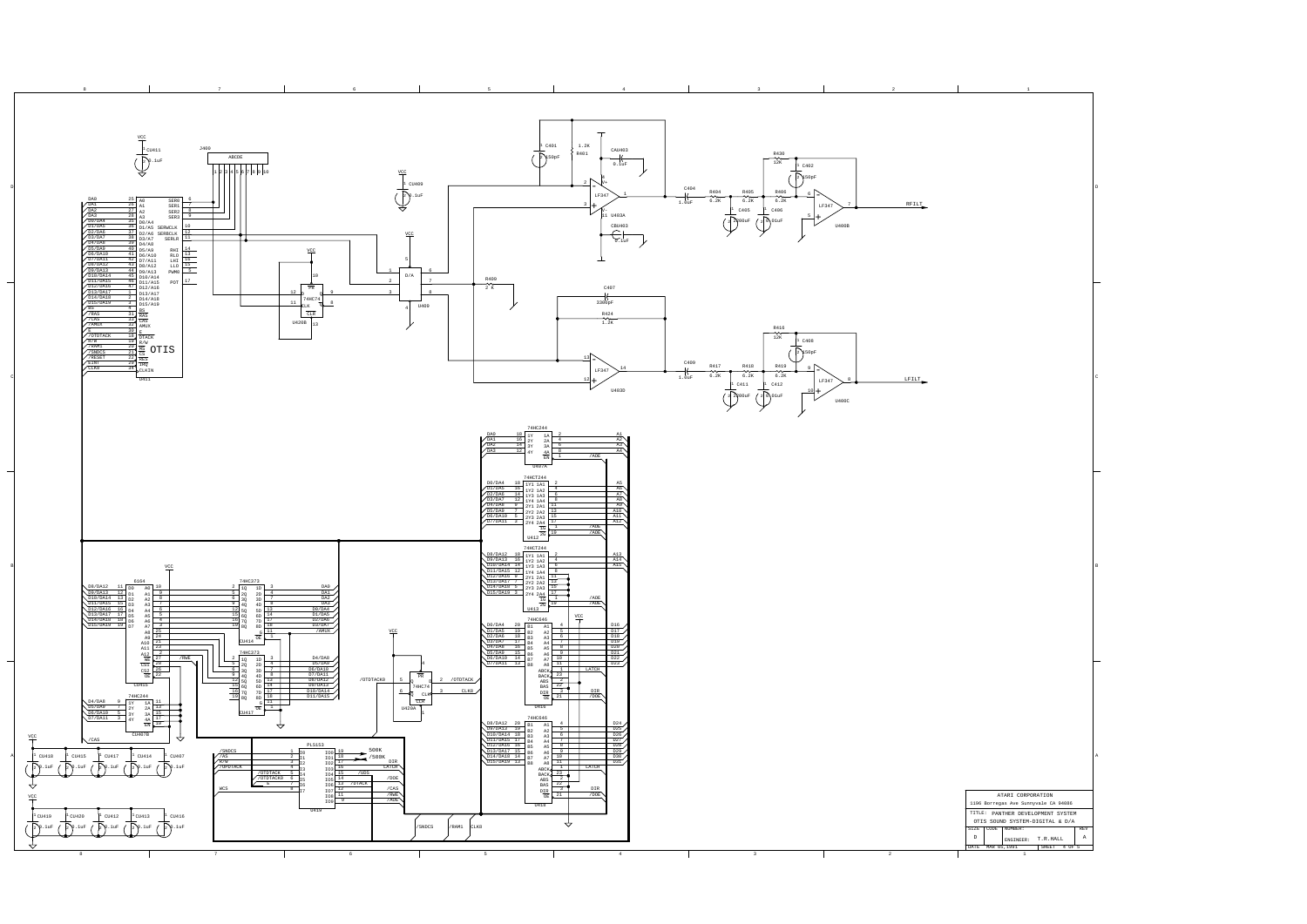

A

B

D